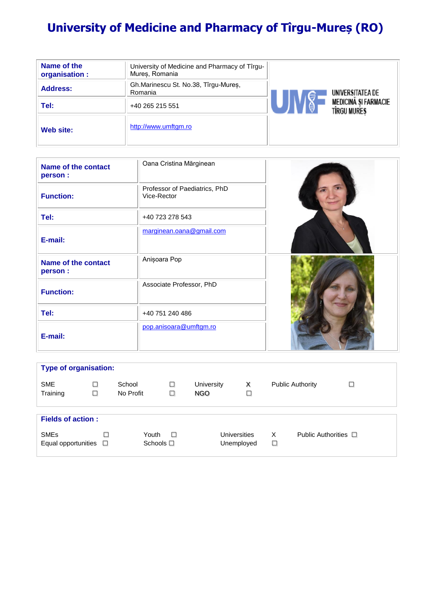# **University of Medicine and Pharmacy of Tîrgu-Mureș (RO)**

| Name of the<br>organisation : | University of Medicine and Pharmacy of Tîrgu-<br>Mures, Romania |                                                   |  |
|-------------------------------|-----------------------------------------------------------------|---------------------------------------------------|--|
| <b>Address:</b>               | Gh.Marinescu St. No.38, Tîrgu-Mures,<br>Romania                 | UNIVERSITATEA DE                                  |  |
| Tel:                          | +40 265 215 551                                                 | <b>MEDICINA SI FARMACIE</b><br><b>TIRGU MURES</b> |  |
| Web site:                     | http://www.umftgm.ro                                            |                                                   |  |

| <b>Name of the contact</b><br>person : | Oana Cristina Mărginean                      |  |
|----------------------------------------|----------------------------------------------|--|
| <b>Function:</b>                       | Professor of Paediatrics, PhD<br>Vice-Rector |  |
| Tel:                                   | +40 723 278 543                              |  |
| E-mail:                                | marginean.oana@gmail.com                     |  |
| <b>Name of the contact</b><br>person : | Anișoara Pop                                 |  |
| <b>Function:</b>                       | Associate Professor, PhD                     |  |
| Tel:                                   | +40 751 240 486                              |  |
| E-mail:                                | pop.anisoara@umftgm.ro                       |  |

| <b>Type of organisation:</b>                  |             |                            |        |                    |                            |             |                           |        |  |  |
|-----------------------------------------------|-------------|----------------------------|--------|--------------------|----------------------------|-------------|---------------------------|--------|--|--|
| <b>SME</b><br>Training                        | □<br>$\Box$ | School<br>No Profit        | □<br>□ | University<br>NGO. | х<br>□                     |             | <b>Public Authority</b>   | $\Box$ |  |  |
|                                               |             |                            |        |                    |                            |             |                           |        |  |  |
| <b>Fields of action:</b>                      |             |                            |        |                    |                            |             |                           |        |  |  |
| <b>SME<sub>s</sub></b><br>Equal opportunities | □<br>□      | Youth<br>Schools $\square$ | $\Box$ |                    | Universities<br>Unemployed | X<br>$\Box$ | Public Authorities $\Box$ |        |  |  |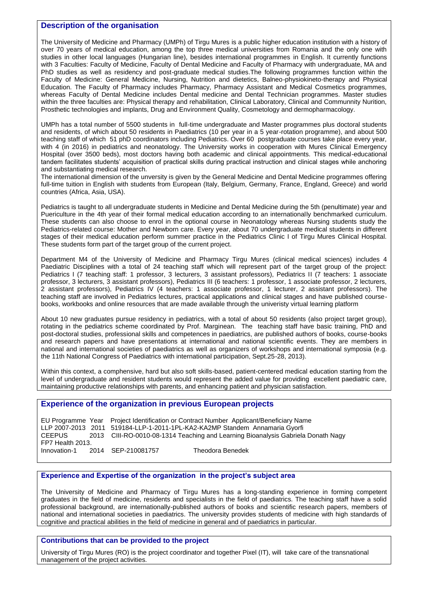### **Description of the organisation**

The University of Medicine and Pharmacy (UMPh) of Tirgu Mures is a public higher education institution with a history of over 70 years of medical education, among the top three medical universities from Romania and the only one with studies in other local languages (Hungarian line), besides international programmes in English. It currently functions with 3 Faculties: Faculty of Medicine, Faculty of Dental Medicine and Faculty of Pharmacy with undergraduate, MA and PhD studies as well as residency and post-graduate medical studies.The following programmes function within the Faculty of Medicine: General Medicine, Nursing, Nutrition and dietetics, Balneo-physiokineto-therapy and Physical Education. The Faculty of Pharmacy includes Pharmacy, Pharmacy Assistant and Medical Cosmetics programmes, whereas Faculty of Dental Medicine includes Dental medicine and Dental Technician programmes. Master studies within the three faculties are: Physical therapy and rehabilitation, Clinical Laboratory, Clinical and Communnity Nurition, Prosthetic technologies and implants, Drug and Environment Quality, Cosmetology and dermopharmacology.

UMPh has a total number of 5500 students in full-time undergraduate and Master programmes plus doctoral students and residents, of which about 50 residents in Paediatrics (10 per year in a 5 year-rotation programme), and about 500 teaching staff of which 51 phD coordinators including Pediatrics. Over 60 postgraduate courses take place every year, with 4 (in 2016) in pediatrics and neonatology. The University works in cooperation with Mures Clinical Emergency Hospital (over 3500 beds), most doctors having both academic and clinical appointments. This medical-educational tandem facilitates students' acquisition of practical skills during practical instruction and clinical stages while anchoring and substantiating medical research.

The international dimension of the unversity is given by the General Medicine and Dental Medicine programmes offering full-time tuition in English with students from European (Italy, Belgium, Germany, France, England, Greece) and world countries (Africa, Asia, USA).

Pediatrics is taught to all undergraduate students in Medicine and Dental Medicine during the 5th (penultimate) year and Puericulture in the 4th year of their formal medical education according to an internationally benchmarked curriculum. These students can also choose to enrol in the optional course in Neonatology whereas Nursing students study the Pediatrics-related course: Mother and Newborn care. Every year, about 70 undergraduate medical students in different stages of their medical education perform summer practice in the Pediatrics Clinic I of Tirgu Mures Clinical Hospital. These students form part of the target group of the current project.

Department M4 of the University of Medicine and Pharmacy Tirgu Mures (clinical medical sciences) includes 4 Paediatric Disciplines with a total of 24 teaching staff which will represent part of the target group of the project: Pediatrics I (7 teaching staff: 1 professor, 3 lecturers, 3 assistant professors), Pediatrics II (7 teachers: 1 associate professor, 3 lecturers, 3 assistant professors), Pediatrics III (6 teachers: 1 professor, 1 associate professor, 2 lecturers, 2 assistant professors), Pediatrics IV (4 teachers: 1 associate professor, 1 lecturer, 2 assistant professors). The teaching staff are involved in Pediatrics lectures, practical applications and clinical stages and have published coursebooks, workbooks and online resources that are made available through the univeristy virtual learning platform

About 10 new graduates pursue residency in pediatrics, with a total of about 50 residents (also project target group), rotating in the pediatrics scheme coordinated by Prof. Marginean. The teaching staff have basic training, PhD and post-doctoral studies, professional skills and competences in paediatrics, are published authors of books, course-books and research papers and have presentations at international and national scientific events. They are members in national and international societies of paediatrics as well as organizers of workshops and international symposia (e.g. the 11th National Congress of Paediatrics with international participation, Sept.25-28, 2013).

Within this context, a comphensive, hard but also soft skills-based, patient-centered medical education starting from the level of undergraduate and resident students would represent the added value for providing excellent paediatric care, maintaining productive relationships with parents, and enhancing patient and physician satisfaction.

## **Experience of the organization in previous European projects**

EU Programme Year Project Identification or Contract Number Applicant/Beneficiary Name LLP 2007-2013 2011 519184-LLP-1-2011-1PL-KA2-KA2MP Standem Annamaria Gyorfi CEEPUS 2013 CIII-RO-0010-08-1314 Teaching and Learning Bioanalysis Gabriela Donath Nagy FP7 Health 2013. Innovation-1 2014 SEP-210081757 Theodora Benedek

#### **Experience and Expertise of the organization in the project's subject area**

The University of Medicine and Pharmacy of Tirgu Mures has a long-standing experience in forming competent graduates in the field of medicine, residents and specialists in the field of paediatrics. The teaching staff have a solid professional background, are internationally-published authors of books and scientific research papers, members of national and international societies in paediatrics. The university provides students of medicine with high standards of cognitive and practical abilities in the field of medicine in general and of paediatrics in particular.

#### **Contributions that can be provided to the project**

University of Tirgu Mures (RO) is the project coordinator and together Pixel (IT), will take care of the transnational management of the project activities.